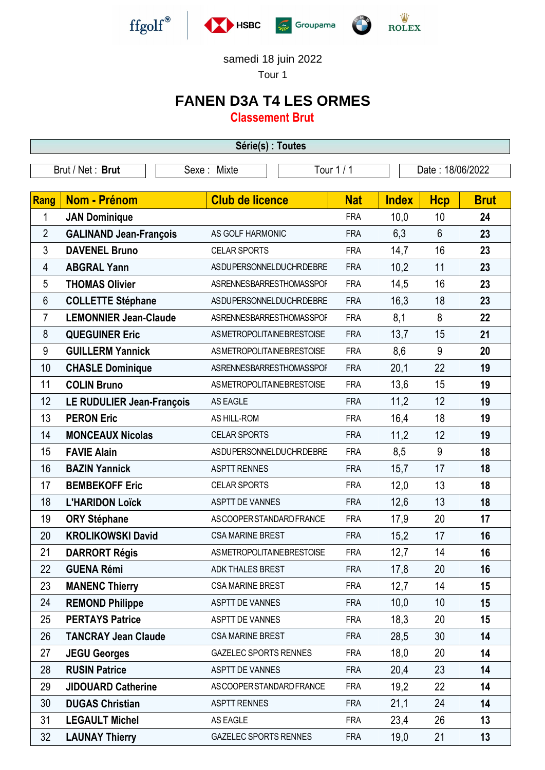





samedi 18 juin 2022

Tour 1

## **FANEN D3A T4 LES ORMES**

**Classement Brut**

| Série(s) : Toutes |                                  |             |                              |                                  |                  |              |                |             |  |  |  |
|-------------------|----------------------------------|-------------|------------------------------|----------------------------------|------------------|--------------|----------------|-------------|--|--|--|
| Brut / Net: Brut  |                                  | Sexe: Mixte | Tour 1/1                     |                                  | Date: 18/06/2022 |              |                |             |  |  |  |
|                   |                                  |             |                              |                                  |                  |              |                |             |  |  |  |
| <b>Rang</b>       | Nom - Prénom                     |             | <b>Club de licence</b>       |                                  | <b>Nat</b>       | <b>Index</b> | <b>Hcp</b>     | <b>Brut</b> |  |  |  |
| 1                 | <b>JAN Dominique</b>             |             |                              |                                  | <b>FRA</b>       | 10,0         | 10             | 24          |  |  |  |
| $\overline{2}$    | <b>GALINAND Jean-François</b>    |             | AS GOLF HARMONIC             |                                  | <b>FRA</b>       | 6,3          | $6\phantom{1}$ | 23          |  |  |  |
| 3                 | <b>DAVENEL Bruno</b>             |             | <b>CELAR SPORTS</b>          |                                  | <b>FRA</b>       | 14,7         | 16             | 23          |  |  |  |
| 4                 | <b>ABGRAL Yann</b>               |             |                              | ASDUPERSONNELDUCHRDEBRE          | <b>FRA</b>       | 10,2         | 11             | 23          |  |  |  |
| 5                 | <b>THOMAS Olivier</b>            |             |                              | ASRENNESBARRESTHOMASSPOF         | <b>FRA</b>       | 14,5         | 16             | 23          |  |  |  |
| 6                 | <b>COLLETTE Stéphane</b>         |             |                              | ASDUPERSONNELDUCHRDEBRE          | <b>FRA</b>       | 16,3         | 18             | 23          |  |  |  |
| 7                 | <b>LEMONNIER Jean-Claude</b>     |             |                              | ASRENNESBARRESTHOMASSPOF         | <b>FRA</b>       | 8,1          | 8              | 22          |  |  |  |
| 8                 | <b>QUEGUINER Eric</b>            |             |                              | ASMETROPOLITAINEBRESTOISE        | <b>FRA</b>       | 13,7         | 15             | 21          |  |  |  |
| 9                 | <b>GUILLERM Yannick</b>          |             |                              | ASMETROPOLITAINEBRESTOISE        | <b>FRA</b>       | 8,6          | 9              | 20          |  |  |  |
| 10                | <b>CHASLE Dominique</b>          |             |                              | ASRENNESBARRESTHOMASSPOF         | <b>FRA</b>       | 20,1         | 22             | 19          |  |  |  |
| 11                | <b>COLIN Bruno</b>               |             |                              | ASMETROPOLITAINEBRESTOISE        | <b>FRA</b>       | 13,6         | 15             | 19          |  |  |  |
| 12                | <b>LE RUDULIER Jean-François</b> |             | AS EAGLE                     |                                  | <b>FRA</b>       | 11,2         | 12             | 19          |  |  |  |
| 13                | <b>PERON Eric</b>                |             | AS HILL-ROM                  |                                  | <b>FRA</b>       | 16,4         | 18             | 19          |  |  |  |
| 14                | <b>MONCEAUX Nicolas</b>          |             | <b>CELAR SPORTS</b>          |                                  | <b>FRA</b>       | 11,2         | 12             | 19          |  |  |  |
| 15                | <b>FAVIE Alain</b>               |             |                              | ASDUPERSONNELDUCHRDEBRE          | <b>FRA</b>       | 8,5          | 9              | 18          |  |  |  |
| 16                | <b>BAZIN Yannick</b>             |             | <b>ASPTT RENNES</b>          |                                  | <b>FRA</b>       | 15,7         | 17             | 18          |  |  |  |
| 17                | <b>BEMBEKOFF Eric</b>            |             | <b>CELAR SPORTS</b>          |                                  | <b>FRA</b>       | 12,0         | 13             | 18          |  |  |  |
| 18                | <b>L'HARIDON Loïck</b>           |             | <b>ASPTT DE VANNES</b>       |                                  | <b>FRA</b>       | 12,6         | 13             | 18          |  |  |  |
| 19                | <b>ORY Stéphane</b>              |             |                              | ASCOOPER STANDARD FRANCE         | <b>FRA</b>       | 17,9         | 20             | 17          |  |  |  |
| 20                | <b>KROLIKOWSKI David</b>         |             | <b>CSA MARINE BREST</b>      |                                  | <b>FRA</b>       | 15,2         | 17             | 16          |  |  |  |
| 21                | <b>DARRORT Régis</b>             |             |                              | <b>ASMETROPOLITAINEBRESTOISE</b> | <b>FRA</b>       | 12,7         | 14             | 16          |  |  |  |
| 22                | <b>GUENA Rémi</b>                |             | ADK THALES BREST             |                                  | <b>FRA</b>       | 17,8         | 20             | 16          |  |  |  |
| 23                | <b>MANENC Thierry</b>            |             | <b>CSA MARINE BREST</b>      |                                  | <b>FRA</b>       | 12,7         | 14             | 15          |  |  |  |
| 24                | <b>REMOND Philippe</b>           |             | ASPTT DE VANNES              |                                  | <b>FRA</b>       | 10,0         | 10             | 15          |  |  |  |
| 25                | <b>PERTAYS Patrice</b>           |             | ASPTT DE VANNES              |                                  | <b>FRA</b>       | 18,3         | 20             | 15          |  |  |  |
| 26                | <b>TANCRAY Jean Claude</b>       |             | <b>CSA MARINE BREST</b>      |                                  | <b>FRA</b>       | 28,5         | 30             | 14          |  |  |  |
| 27                | <b>JEGU Georges</b>              |             | <b>GAZELEC SPORTS RENNES</b> |                                  | <b>FRA</b>       | 18,0         | 20             | 14          |  |  |  |
| 28                | <b>RUSIN Patrice</b>             |             | <b>ASPTT DE VANNES</b>       |                                  | <b>FRA</b>       | 20,4         | 23             | 14          |  |  |  |
| 29                | <b>JIDOUARD Catherine</b>        |             |                              | ASCOOPER STANDARD FRANCE         | <b>FRA</b>       | 19,2         | 22             | 14          |  |  |  |
| 30                | <b>DUGAS Christian</b>           |             | <b>ASPTT RENNES</b>          |                                  | <b>FRA</b>       | 21,1         | 24             | 14          |  |  |  |
| 31                | <b>LEGAULT Michel</b>            |             | AS EAGLE                     |                                  | <b>FRA</b>       | 23,4         | 26             | 13          |  |  |  |
| 32                | <b>LAUNAY Thierry</b>            |             | <b>GAZELEC SPORTS RENNES</b> |                                  | <b>FRA</b>       | 19,0         | 21             | 13          |  |  |  |